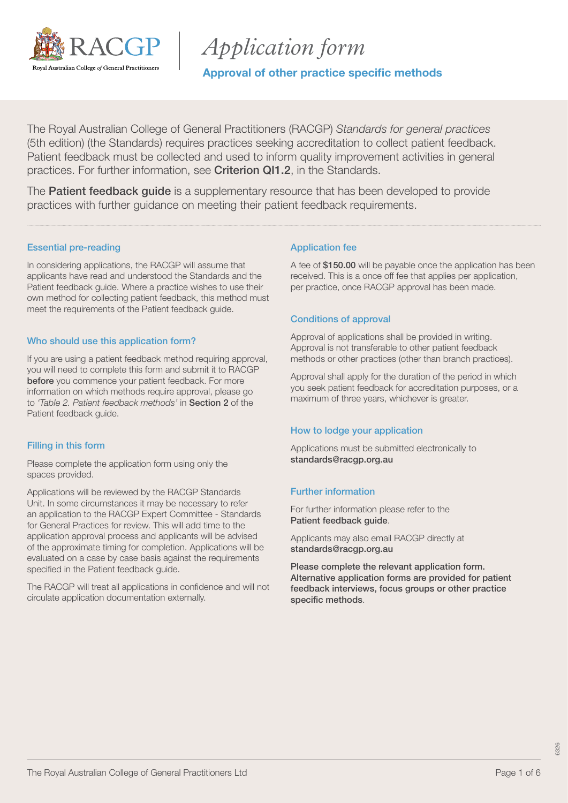

# *Application form*

Approval of other practice specific methods

The Royal Australian College of General Practitioners (RACGP) *Standards for general practices* (5th edition) (the Standards) requires practices seeking accreditation to collect patient feedback. Patient feedback must be collected and used to inform quality improvement activities in general practices. For further information, see [Criterion QI1.2](https://www.racgp.org.au/FSDEDEV/media/documents/Running%20a%20practice/Practice%20standards/5th%20edition/Standards-for-general-practice-5th-edition.pdf#page=100), in the Standards.

The **[Patient feedback guide](https://www.racgp.org.au/running-a-practice/practice-standards/standards-5th-edition/patient-feedback-guide)** is a supplementary resource that has been developed to provide practices with further guidance on meeting their patient feedback requirements.

### Essential pre-reading

In considering applications, the RACGP will assume that applicants have read and understood the Standards and the Patient feedback guide. Where a practice wishes to use their own method for collecting patient feedback, this method must meet the requirements of the Patient feedback guide.

### Who should use this application form?

If you are using a patient feedback method requiring approval, you will need to complete this form and submit it to RACGP before you commence your patient feedback. For more information on which methods require approval, please go to *'Table 2. Patient feedback methods'* in [Section 2](https://www.racgp.org.au/FSDEDEV/media/documents/Running%20a%20practice/Practice%20standards/5th%20edition/Patient-feedback-guide.pdf#page=19) of the Patient feedback guide.

### Filling in this form

Please complete the application form using only the spaces provided.

Applications will be reviewed by the RACGP Standards Unit. In some circumstances it may be necessary to refer an application to the RACGP Expert Committee - Standards for General Practices for review. This will add time to the application approval process and applicants will be advised of the approximate timing for completion. Applications will be evaluated on a case by case basis against the requirements specified in the Patient feedback guide.

The RACGP will treat all applications in confidence and will not circulate application documentation externally.

### Application fee

A fee of \$150.00 will be payable once the application has been received. This is a once off fee that applies per application, per practice, once RACGP approval has been made.

### Conditions of approval

Approval of applications shall be provided in writing. Approval is not transferable to other patient feedback methods or other practices (other than branch practices).

Approval shall apply for the duration of the period in which you seek patient feedback for accreditation purposes, or a maximum of three years, whichever is greater.

#### How to lodge your application

Applications must be submitted electronically to [standards@racgp.org.au](mailto:standards%40racgp.org.au?subject=)

### Further information

For further information please refer to the [Patient feedback guide](https://www.racgp.org.au/FSDEDEV/media/documents/Running%20a%20practice/Practice%20standards/5th%20edition/Patient-feedback-guide.pdf).

Applicants may also email RACGP directly at standards@racqp.org.au

Please complete the relevant application form. Alternative application forms are provided for patient feedback interviews, focus groups or other practice specific methods.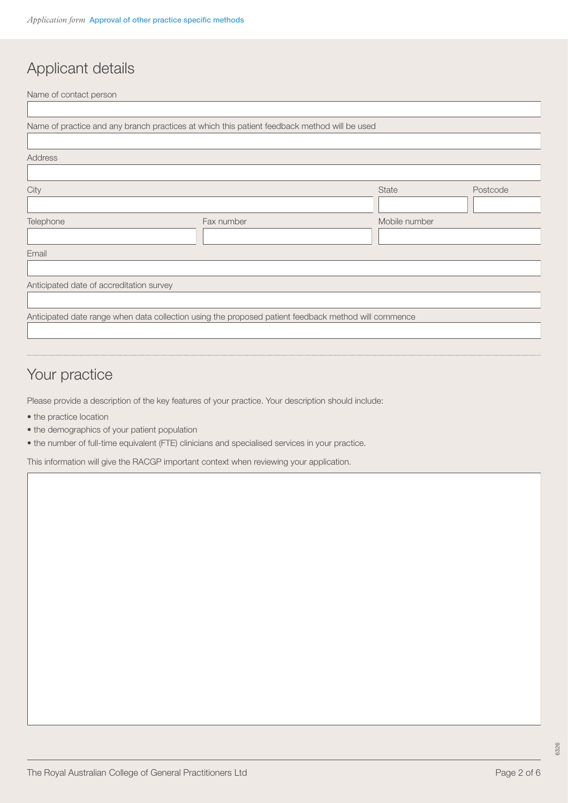# Applicant details

Name of contact person

ſ

|                                          | Name of practice and any branch practices at which this patient feedback method will be used         |               |          |
|------------------------------------------|------------------------------------------------------------------------------------------------------|---------------|----------|
|                                          |                                                                                                      |               |          |
| Address                                  |                                                                                                      |               |          |
|                                          |                                                                                                      |               |          |
| City                                     |                                                                                                      | <b>State</b>  | Postcode |
|                                          |                                                                                                      |               |          |
| Telephone                                | Fax number                                                                                           | Mobile number |          |
|                                          |                                                                                                      |               |          |
| Email                                    |                                                                                                      |               |          |
|                                          |                                                                                                      |               |          |
| Anticipated date of accreditation survey |                                                                                                      |               |          |
|                                          |                                                                                                      |               |          |
|                                          | Anticipated date range when data collection using the proposed patient feedback method will commence |               |          |
|                                          |                                                                                                      |               |          |

# Your practice

Please provide a description of the key features of your practice. Your description should include:

- the practice location
- the demographics of your patient population
- the number of full-time equivalent (FTE) clinicians and specialised services in your practice.

This information will give the RACGP important context when reviewing your application.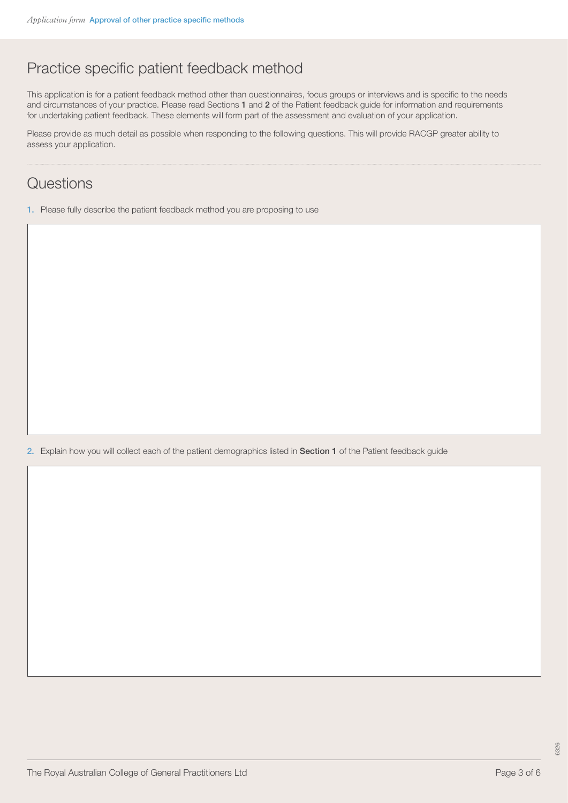# Practice specific patient feedback method

This application is for a patient feedback method other than questionnaires, focus groups or interviews and is specific to the needs and circumstances of your practice. Please read Sections [1](https://www.racgp.org.au/FSDEDEV/media/documents/Running%20a%20practice/Practice%20standards/5th%20edition/Patient-feedback-guide.pdf#page=9) and [2](https://www.racgp.org.au/FSDEDEV/media/documents/Running%20a%20practice/Practice%20standards/5th%20edition/Patient-feedback-guide.pdf#page=17) of the Patient feedback guide for information and requirements for undertaking patient feedback. These elements will form part of the assessment and evaluation of your application.

Please provide as much detail as possible when responding to the following questions. This will provide RACGP greater ability to assess your application.

### **Questions**

1. Please fully describe the patient feedback method you are proposing to use

2. Explain how you will collect each of the patient demographics listed in [Section 1](https://www.racgp.org.au/FSDEDEV/media/documents/Running%20a%20practice/Practice%20standards/5th%20edition/Patient-feedback-guide.pdf#page=13) of the Patient feedback guide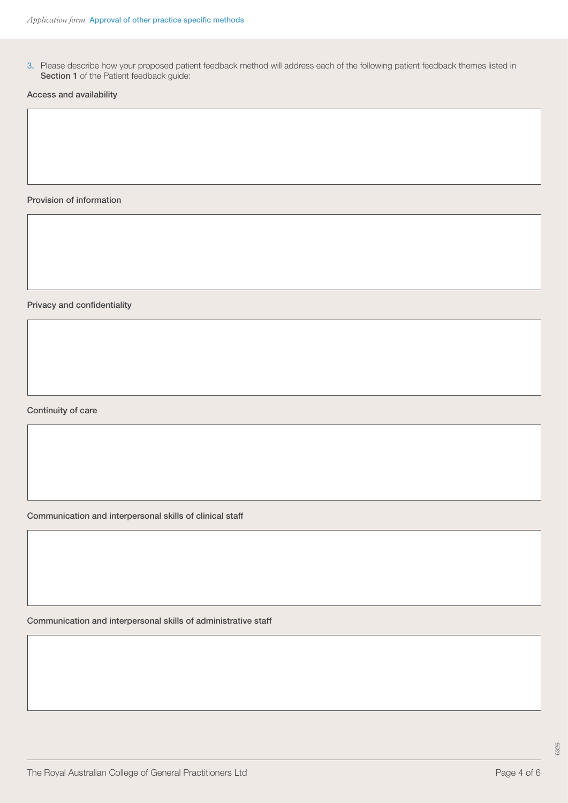3. Please describe how your proposed patient feedback method will address each of the following patient feedback themes listed in [Section 1](https://www.racgp.org.au/FSDEDEV/media/documents/Running%20a%20practice/Practice%20standards/5th%20edition/Patient-feedback-guide.pdf#page=11) of the Patient feedback guide:

Access and availability

Provision of information

Privacy and confidentiality

Continuity of care

Communication and interpersonal skills of clinical staff

Communication and interpersonal skills of administrative staff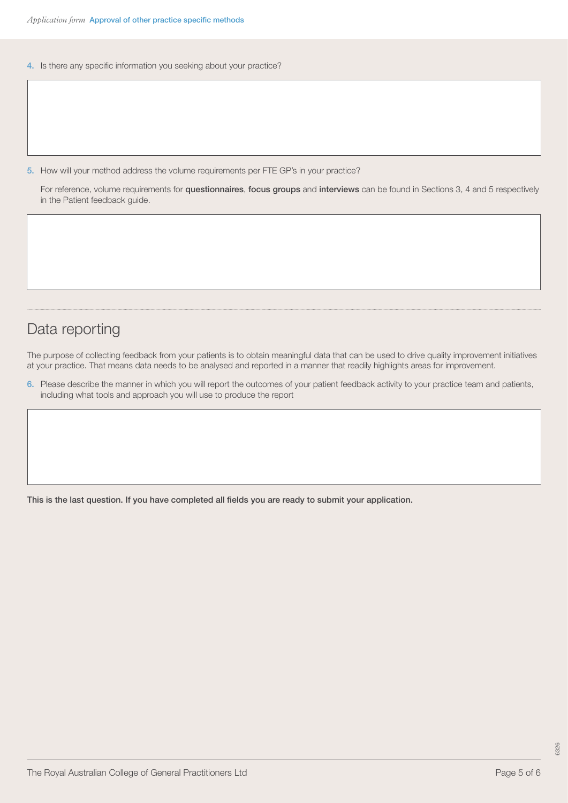4. Is there any specific information you seeking about your practice?

5. How will your method address the volume requirements per FTE GP's in your practice?

For reference, volume requirements for [questionnaires](https://www.racgp.org.au/FSDEDEV/media/documents/Running%20a%20practice/Practice%20standards/5th%20edition/Patient-feedback-guide.pdf#page=22), [focus groups](https://www.racgp.org.au/FSDEDEV/media/documents/Running%20a%20practice/Practice%20standards/5th%20edition/Patient-feedback-guide.pdf#page=29) and [interviews](https://www.racgp.org.au/FSDEDEV/media/documents/Running%20a%20practice/Practice%20standards/5th%20edition/Patient-feedback-guide.pdf#page=31) can be found in Sections 3, 4 and 5 respectively in the Patient feedback guide.

### Data reporting

The purpose of collecting feedback from your patients is to obtain meaningful data that can be used to drive quality improvement initiatives at your practice. That means data needs to be analysed and reported in a manner that readily highlights areas for improvement.

6. Please describe the manner in which you will report the outcomes of your patient feedback activity to your practice team and patients, including what tools and approach you will use to produce the report

This is the last question. If you have completed all fields you are ready to submit your application.